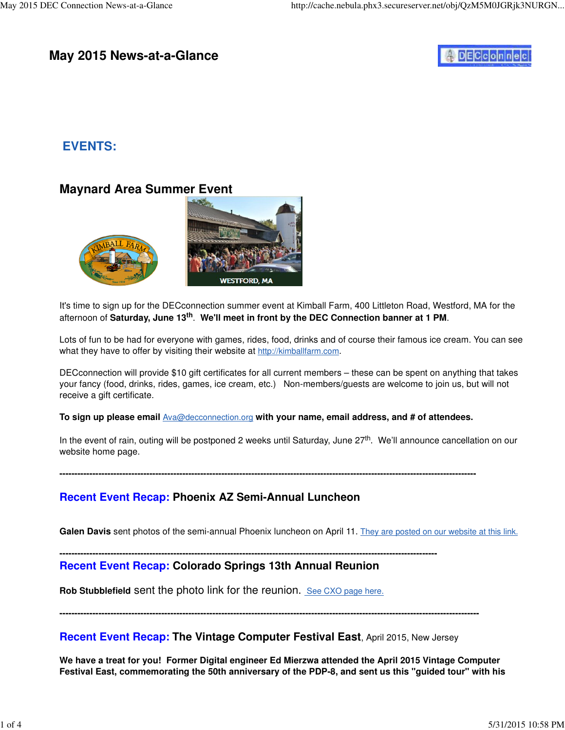## **May 2015 News-at-a-Glance**

# **DECconnec**

## **EVENTS:**

## **Maynard Area Summer Event**



It's time to sign up for the DECconnection summer event at Kimball Farm, 400 Littleton Road, Westford, MA for the afternoon of **Saturday, June 13th**. **We'll meet in front by the DEC Connection banner at 1 PM**.

Lots of fun to be had for everyone with games, rides, food, drinks and of course their famous ice cream. You can see what they have to offer by visiting their website at <http://kimballfarm.com>.

DECconnection will provide \$10 gift certificates for all current members – these can be spent on anything that takes your fancy (food, drinks, rides, games, ice cream, etc.) Non-members/guests are welcome to join us, but will not receive a gift certificate.

#### **To sign up please email** [Ava@decconnection.org](mailto:Ava@decconnection.org) **with your name, email address, and # of attendees.**

In the event of rain, outing will be postponed 2 weeks until Saturday, June 27<sup>th</sup>. We'll announce cancellation on our website home page.

**-------------------------------------------------------------------------------------------------------------------------------------------**

### **Recent Event Recap: Phoenix AZ Semi-Annual Luncheon**

Galen Davis sent photos of the semi-annual Phoenix luncheon on April 11. They are posted on our website at this link.

#### **------------------------------------------------------------------------------------------------------------------------------**

### **Recent Event Recap: Colorado Springs 13th Annual Reunion**

**Rob Stubblefield** sent the photo link for the reunion. See CXO page here.

**--------------------------------------------------------------------------------------------------------------------------------------------**

#### **Recent Event Recap: The Vintage Computer Festival East**, April 2015, New Jersey

**We have a treat for you! Former Digital engineer Ed Mierzwa attended the April 2015 Vintage Computer Festival East, commemorating the 50th anniversary of the PDP-8, and sent us this "guided tour" with his**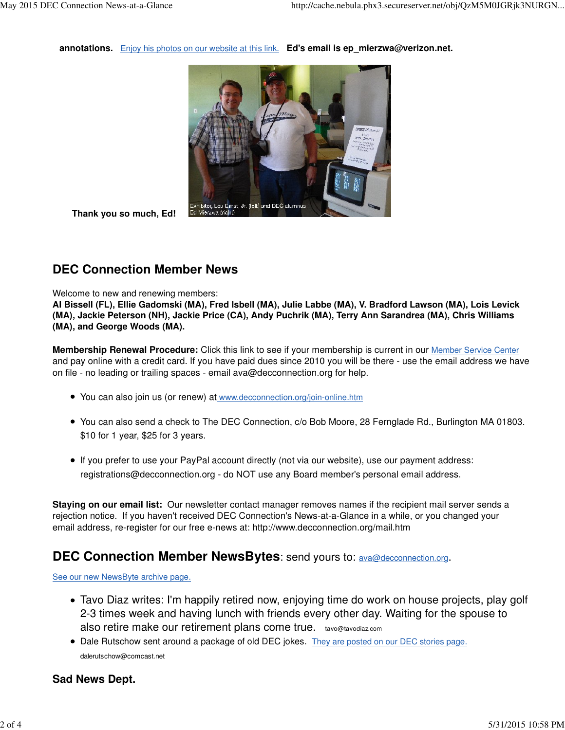**annotations.** Enjoy his photos on our website at this link. **Ed's email is ep\_[mierzwa@verizon.net.](mailto:mierzwa@verizon.net)** 



 **Thank you so much, Ed!** 

## **DEC Connection Member News**

#### Welcome to new and renewing members:

**Al Bissell (FL), Ellie Gadomski (MA), Fred Isbell (MA), Julie Labbe (MA), V. Bradford Lawson (MA), Lois Levick (MA), Jackie Peterson (NH), Jackie Price (CA), Andy Puchrik (MA), Terry Ann Sarandrea (MA), Chris Williams (MA), and George Woods (MA).**

**Membership Renewal Procedure:** Click this link to see if your membership is current in our Member Service Center and pay online with a credit card. If you have paid dues since 2010 you will be there - use the email address we have on file - no leading or trailing spaces - email [ava@decconnection.org fo](mailto:ava@decconnection.org)r help.

- You can also join us (or renew) at [www.decconnection.org/join-online.htm](http://www.decconnection.org/join-online.htm)
- You can also send a check to The DEC Connection, c/o Bob Moore, 28 Fernglade Rd., Burlington MA 01803. \$10 for 1 year, \$25 for 3 years.
- If you prefer to use your PayPal account directly (not via our website), use our payment address: [registrations@decconnection.org - d](mailto:registrations@decconnection.org)o NOT use any Board member's personal email address.

**Staying on our email list:** Our newsletter contact manager removes names if the recipient mail server sends a rejection notice. If you haven't received DEC Connection's News-at-a-Glance in a while, or you changed your email address, re-register for our free e-news at: <http://www.decconnection.org/mail.htm>

### **DEC Connection Member NewsBytes**: send yours to: [ava@decconnection.org](mailto:ava@decconnection.org).

See our new NewsByte archive page.

- Tavo Diaz writes: I'm happily retired now, enjoying time do work on house projects, play golf 2-3 times week and having lunch with friends every other day. Waiting for the spouse to also retire make our retirement plans come true. [tavo@tavodiaz.com](mailto:tavo@tavodiaz.com)
- Dale Rutschow sent around a package of old DEC jokes. They are posted on our DEC stories page. [dalerutschow@comcast.net](mailto:dalerutschow@comcast.net)

### **Sad News Dept.**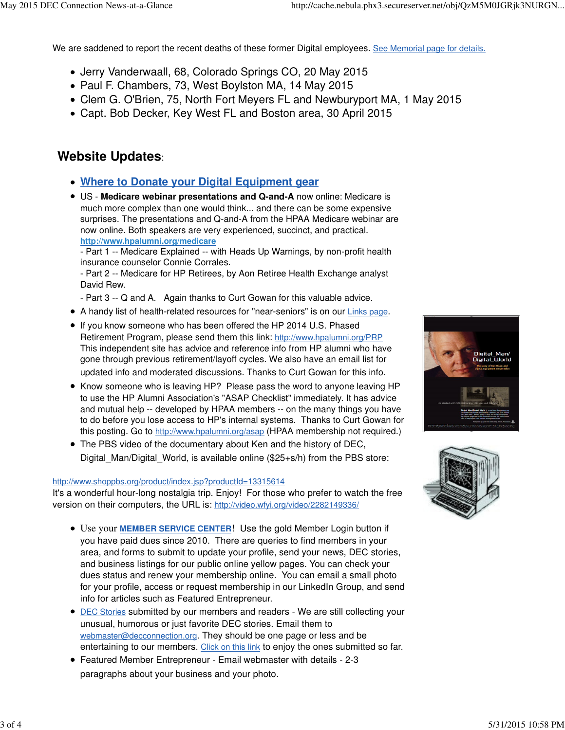We are saddened to report the recent deaths of these former Digital employees. See Memorial page for details.

- Jerry Vanderwaall, 68, Colorado Springs CO, 20 May 2015
- Paul F. Chambers, 73, West Boylston MA, 14 May 2015
- Clem G. O'Brien, 75, North Fort Meyers FL and Newburyport MA, 1 May 2015
- Capt. Bob Decker, Key West FL and Boston area, 30 April 2015

## **Website Updates**:

- **Where to Donate your Digital Equipment gear**
- US - **Medicare webinar presentations and Q-and-A** now online: Medicare is much more complex than one would think... and there can be some expensive surprises. The presentations and Q-and-A from the HPAA Medicare webinar are now online. Both speakers are very experienced, succinct, and practical. **<http://www.hpalumni.org/medicare>**

- Part 1 -- Medicare Explained -- with Heads Up Warnings, by non-profit health insurance counselor Connie Corrales.

- Part 2 -- Medicare for HP Retirees, by Aon Retiree Health Exchange analyst David Rew.

- Part 3 -- Q and A. Again thanks to Curt Gowan for this valuable advice.
- A handy list of health-related resources for "near-seniors" is on our Links page.
- If you know someone who has been offered the HP 2014 U.S. Phased Retirement Program, please send them this link: <http://www.hpalumni.org/PRP> This independent site has advice and reference info from HP alumni who have gone through previous retirement/layoff cycles. We also have an email list for updated info and moderated discussions. Thanks to Curt Gowan for this info.
- Know someone who is leaving HP? Please pass the word to anyone leaving HP to use the HP Alumni Association's "ASAP Checklist" immediately. It has advice and mutual help -- developed by HPAA members -- on the many things you have to do before you lose access to HP's internal systems. Thanks to Curt Gowan for this posting. Go to <http://www.hpalumni.org/asap> (HPAA membership not required.)
- The PBS video of the documentary about Ken and the history of DEC, Digital\_Man/Digital\_World, is available online (\$25+s/h) from the PBS store:

#### <http://www.shoppbs.org/product/index.jsp?productId=13315614>

It's a wonderful hour-long nostalgia trip. Enjoy! For those who prefer to watch the free version on their computers, the URL is: [http://video.wfyi.org/video/2282149336/](http://video.wfyi.org/video/2282149336)

- Use your **MEMBER SERVICE CENTER**! Use the gold Member Login button if you have paid dues since 2010. There are queries to find members in your area, and forms to submit to update your profile, send your news, DEC stories, and business listings for our public online yellow pages. You can check your dues status and renew your membership online. You can email a small photo for your profile, access or request membership in our LinkedIn Group, and send info for articles such as Featured Entrepreneur.
- **DEC Stories submitted by our members and readers We are still collecting your** unusual, humorous or just favorite DEC stories. Email them to [webmaster@decconnection.org](mailto:webmaster@decconnection.org). They should be one page or less and be entertaining to our members. Click on this link to enjoy the ones submitted so far.
- Featured Member Entrepreneur Email webmaster with details 2-3 paragraphs about your business and your photo.